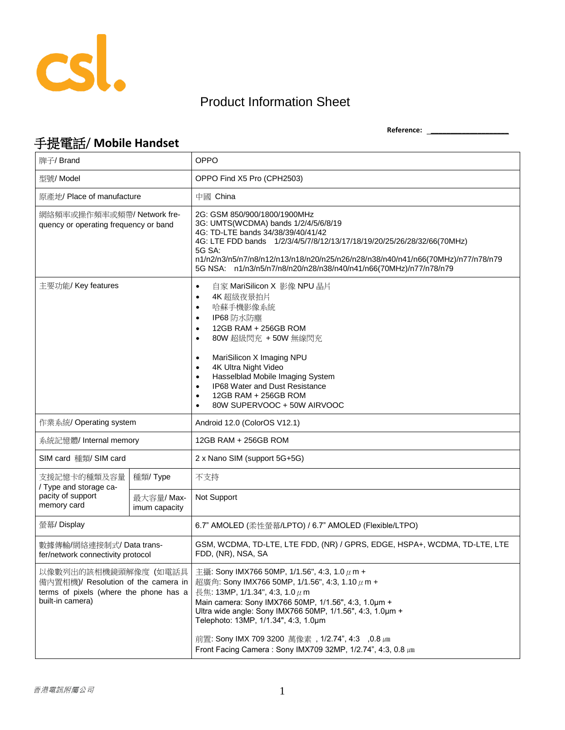

## Product Information Sheet

 **Reference: \_\_\_\_\_\_\_\_\_\_\_\_\_\_\_\_\_\_\_\_**

## 手提電話/ **Mobile Handset**

| 牌子/ Brand                                                                                                                 |                            | OPPO                                                                                                                                                                                                                                                                                                                                                                                                                                                        |
|---------------------------------------------------------------------------------------------------------------------------|----------------------------|-------------------------------------------------------------------------------------------------------------------------------------------------------------------------------------------------------------------------------------------------------------------------------------------------------------------------------------------------------------------------------------------------------------------------------------------------------------|
| 型號/ Model                                                                                                                 |                            | OPPO Find X5 Pro (CPH2503)                                                                                                                                                                                                                                                                                                                                                                                                                                  |
| 原產地/ Place of manufacture                                                                                                 |                            | 中國 China                                                                                                                                                                                                                                                                                                                                                                                                                                                    |
| 網絡頻率或操作頻率或頻帶/ Network fre-<br>quency or operating frequency or band                                                       |                            | 2G: GSM 850/900/1800/1900MHz<br>3G: UMTS(WCDMA) bands 1/2/4/5/6/8/19<br>4G: TD-LTE bands 34/38/39/40/41/42<br>4G: LTE FDD bands 1/2/3/4/5/7/8/12/13/17/18/19/20/25/26/28/32/66(70MHz)<br>5G SA:<br>n1/n2/n3/n5/n7/n8/n12/n13/n18/n20/n25/n26/n28/n38/n40/n41/n66(70MHz)/n77/n78/n79<br>5G NSA: n1/n3/n5/n7/n8/n20/n28/n38/n40/n41/n66(70MHz)/n77/n78/n79                                                                                                    |
| 主要功能/ Key features                                                                                                        |                            | 自家 MariSilicon X 影像 NPU 晶片<br>$\bullet$<br>4K超級夜景拍片<br>$\bullet$<br>哈蘇手機影像系統<br>$\bullet$<br>IP68 防水防塵<br>$\bullet$<br>12GB RAM + 256GB ROM<br>$\bullet$<br>80W 超級閃充 +50W 無線閃充<br>$\bullet$<br>MariSilicon X Imaging NPU<br>$\bullet$<br>4K Ultra Night Video<br>$\bullet$<br>Hasselblad Mobile Imaging System<br>$\bullet$<br>IP68 Water and Dust Resistance<br>$\bullet$<br>12GB RAM + 256GB ROM<br>$\bullet$<br>80W SUPERVOOC + 50W AIRVOOC<br>$\bullet$ |
| 作業系統/ Operating system                                                                                                    |                            | Android 12.0 (ColorOS V12.1)                                                                                                                                                                                                                                                                                                                                                                                                                                |
| 系統記憶體/ Internal memory                                                                                                    |                            | 12GB RAM + 256GB ROM                                                                                                                                                                                                                                                                                                                                                                                                                                        |
| SIM card 種類/ SIM card                                                                                                     |                            | 2 x Nano SIM (support 5G+5G)                                                                                                                                                                                                                                                                                                                                                                                                                                |
| 支援記憶卡的種類及容量<br>/ Type and storage ca-<br>pacity of support<br>memory card                                                 | 種類/ Type                   | 不支持                                                                                                                                                                                                                                                                                                                                                                                                                                                         |
|                                                                                                                           | 最大容量/Max-<br>imum capacity | Not Support                                                                                                                                                                                                                                                                                                                                                                                                                                                 |
| 螢幕/ Display                                                                                                               |                            | 6.7" AMOLED (柔性螢幕/LPTO) / 6.7" AMOLED (Flexible/LTPO)                                                                                                                                                                                                                                                                                                                                                                                                       |
| 數據傳輸/網絡連接制式/Data trans-<br>fer/network connectivity protocol                                                              |                            | GSM, WCDMA, TD-LTE, LTE FDD, (NR) / GPRS, EDGE, HSPA+, WCDMA, TD-LTE, LTE<br>FDD, (NR), NSA, SA                                                                                                                                                                                                                                                                                                                                                             |
| 以像數列出的該相機鏡頭解像度 (如電話具<br>備內置相機)/ Resolution of the camera in<br>terms of pixels (where the phone has a<br>built-in camera) |                            | 主攝: Sony IMX766 50MP, 1/1.56", 4:3, 1.0 $\mu$ m +<br>超廣角: Sony IMX766 50MP, 1/1.56", 4:3, 1.10 $\mu$ m +<br>長焦: 13MP, 1/1.34", 4:3, 1.0 $\mu$ m<br>Main camera: Sony IMX766 50MP, 1/1.56", 4:3, 1.0um +<br>Ultra wide angle: Sony IMX766 50MP, 1/1.56", 4:3, 1.0um +<br>Telephoto: 13MP, 1/1.34", 4:3, 1.0um<br>前置: Sony IMX 709 3200 萬像素, 1/2.74", 4:3, 0.8 μm<br>Front Facing Camera: Sony IMX709 32MP, 1/2.74", 4:3, 0.8 µm                              |